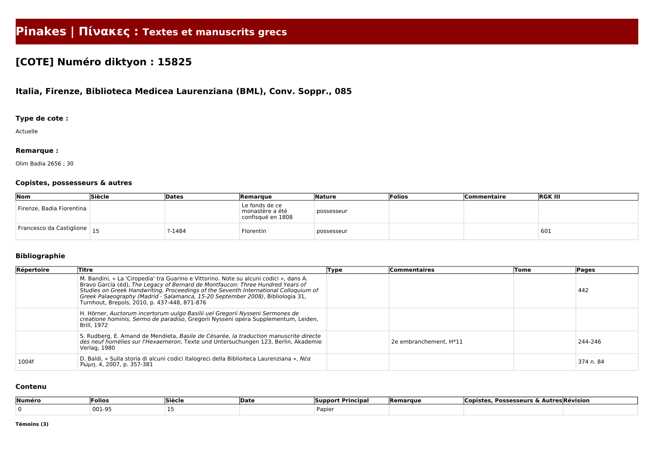# **Pinakes | Πίνακες : Textes et manuscrits grecs**

## **[COTE] Numéro diktyon : 15825**

### **Italia, Firenze, Biblioteca Medicea Laurenziana (BML), Conv. Soppr., 085**

#### **Type de cote :**

Actuelle

#### **Remarque :**

Olim Badia 2656 ; 30

#### **Copistes, possesseurs & autres**

| $\sqrt{N}$                    | Siècle | Dates  | Remarque                                               | Nature     | Folios | <b>Commentaire</b> | <b>RGK III</b> |
|-------------------------------|--------|--------|--------------------------------------------------------|------------|--------|--------------------|----------------|
| Firenze, Badia Fiorentina     |        |        | Le fonds de ce<br>monastère a été<br>confisqué en 1808 | possesseur |        |                    |                |
| Francesco da Castiglione   15 |        | 1484-? | Florentin                                              | possesseur |        |                    | 601            |

#### **Bibliographie**

| Répertoire | Titre                                                                                                                                                                                                                                                                                                                                                                                              | Type | <b>Commentaires</b>    | Tome | Pages     |
|------------|----------------------------------------------------------------------------------------------------------------------------------------------------------------------------------------------------------------------------------------------------------------------------------------------------------------------------------------------------------------------------------------------------|------|------------------------|------|-----------|
|            | M. Bandini, « La 'Ciropedia' tra Guarino e Vittorino. Note su alcuni codici », dans A.<br>Bravo García (éd), The Legacy of Bernard de Montfaucon: Three Hundred Years of<br>Studies on Greek Handwriting. Proceedings of the Seventh International Colloquium of<br>Greek Palaeography (Madrid - Salamanca, 15-20 September 2008), Bibliologia 31,<br>Turnhout, Brepols, 2010, p. 437-448, 871-876 |      |                        |      | 442       |
|            | H. Hörner, Auctorum incertorum uulgo Basilii uel Gregorii Nysseni Sermones de<br>creatione hominis, Sermo de paradiso, Gregorii Nysseni opera Supplementum, Leiden,<br>Brill, 1972                                                                                                                                                                                                                 |      |                        |      |           |
|            | S. Rudberg, E. Amand de Mendieta, Basile de Césarée, la traduction manuscrite directe<br>des neuf homélies sur l'Hexaemeron, Texte und Untersuchungen 123, Berlin, Akademie<br>Verlag, 1980                                                                                                                                                                                                        |      | 2e embranchement, H*11 |      | 244-246   |
| 1004f      | D. Baldi, « Sulla storia di alcuni codici italogreci della Biblioiteca Laurenziana », Nέα<br>Pώμη, 4, 2007, p. 357-381                                                                                                                                                                                                                                                                             |      |                        |      | 374 n. 84 |

#### **Contenu**

| ∣Numéro | <b>Folios</b> | $\sim$ $\sim$<br><b>Siècle</b> | <b>IDate</b> | <b>Principa</b><br>Suppor | <b>IRemarque</b> | <b>Possesseurs</b><br>`opiste<br>0 A | <b>Autres Révision</b> |
|---------|---------------|--------------------------------|--------------|---------------------------|------------------|--------------------------------------|------------------------|
|         | 001-95        |                                |              | Papier                    |                  |                                      |                        |